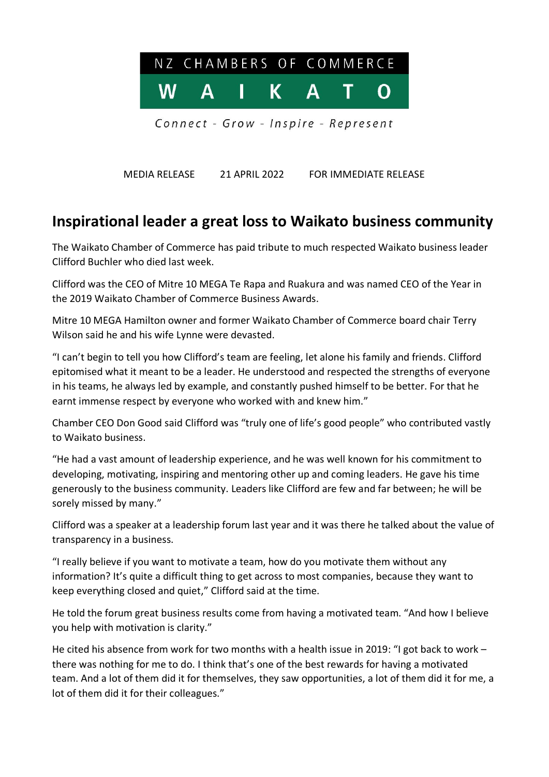

MEDIA RELEASE 21 APRIL 2022 FOR IMMEDIATE RELEASE

## **Inspirational leader a great loss to Waikato business community**

The Waikato Chamber of Commerce has paid tribute to much respected Waikato business leader Clifford Buchler who died last week.

Clifford was the CEO of Mitre 10 MEGA Te Rapa and Ruakura and was named CEO of the Year in the 2019 Waikato Chamber of Commerce Business Awards.

Mitre 10 MEGA Hamilton owner and former Waikato Chamber of Commerce board chair Terry Wilson said he and his wife Lynne were devasted.

"I can't begin to tell you how Clifford's team are feeling, let alone his family and friends. Clifford epitomised what it meant to be a leader. He understood and respected the strengths of everyone in his teams, he always led by example, and constantly pushed himself to be better. For that he earnt immense respect by everyone who worked with and knew him."

Chamber CEO Don Good said Clifford was "truly one of life's good people" who contributed vastly to Waikato business.

"He had a vast amount of leadership experience, and he was well known for his commitment to developing, motivating, inspiring and mentoring other up and coming leaders. He gave his time generously to the business community. Leaders like Clifford are few and far between; he will be sorely missed by many."

Clifford was a speaker at a leadership forum last year and it was there he talked about the value of transparency in a business.

"I really believe if you want to motivate a team, how do you motivate them without any information? It's quite a difficult thing to get across to most companies, because they want to keep everything closed and quiet," Clifford said at the time.

He told the forum great business results come from having a motivated team. "And how I believe you help with motivation is clarity."

He cited his absence from work for two months with a health issue in 2019: "I got back to work – there was nothing for me to do. I think that's one of the best rewards for having a motivated team. And a lot of them did it for themselves, they saw opportunities, a lot of them did it for me, a lot of them did it for their colleagues."